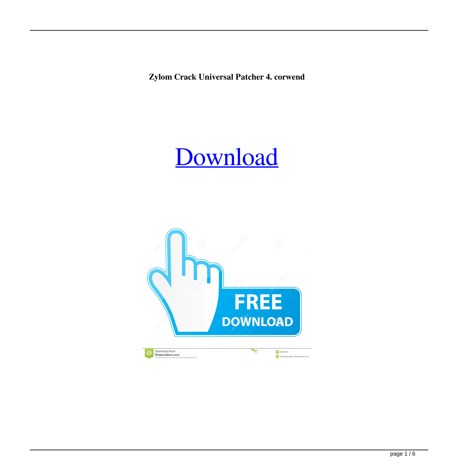Zylom Crack Universal Patcher 4. corwend

## Download

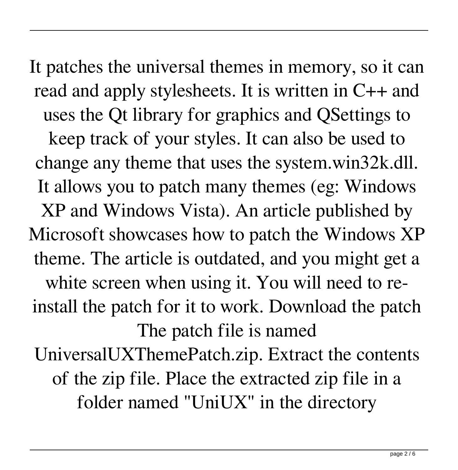It patches the universal themes in memory, so it can read and apply stylesheets. It is written in C++ and uses the Qt library for graphics and QSettings to keep track of your styles. It can also be used to change any theme that uses the system.win32k.dll. It allows you to patch many themes (eg: Windows XP and Windows Vista). An article published by Microsoft showcases how to patch the Windows XP theme. The article is outdated, and you might get a white screen when using it. You will need to reinstall the patch for it to work. Download the patch The patch file is named UniversalUXThemePatch.zip. Extract the contents of the zip file. Place the extracted zip file in a

folder named "UniUX" in the directory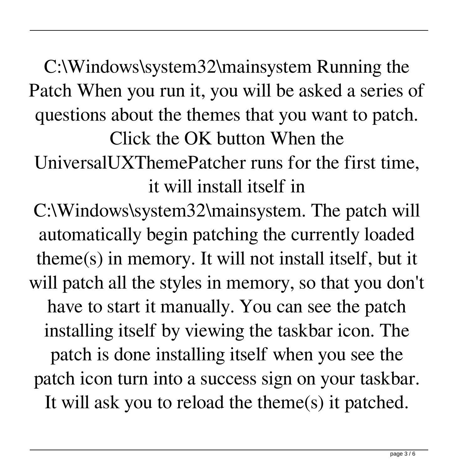C:\Windows\system32\mainsystem Running the Patch When you run it, you will be asked a series of questions about the themes that you want to patch. Click the OK button When the UniversalUXThemePatcher runs for the first time, it will install itself in C:\Windows\system32\mainsystem. The patch will

automatically begin patching the currently loaded theme(s) in memory. It will not install itself, but it will patch all the styles in memory, so that you don't have to start it manually. You can see the patch installing itself by viewing the taskbar icon. The patch is done installing itself when you see the patch icon turn into a success sign on your taskbar. It will ask you to reload the theme(s) it patched.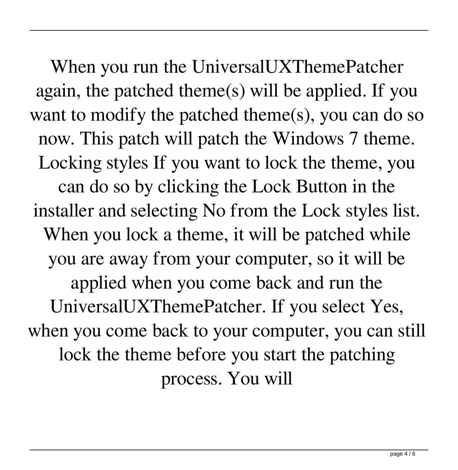When you run the UniversalUXThemePatcher again, the patched theme(s) will be applied. If you want to modify the patched theme(s), you can do so now. This patch will patch the Windows 7 theme. Locking styles If you want to lock the theme, you can do so by clicking the Lock Button in the installer and selecting No from the Lock styles list. When you lock a theme, it will be patched while you are away from your computer, so it will be applied when you come back and run the UniversalUXThemePatcher. If you select Yes, when you come back to your computer, you can still lock the theme before you start the patching process. You will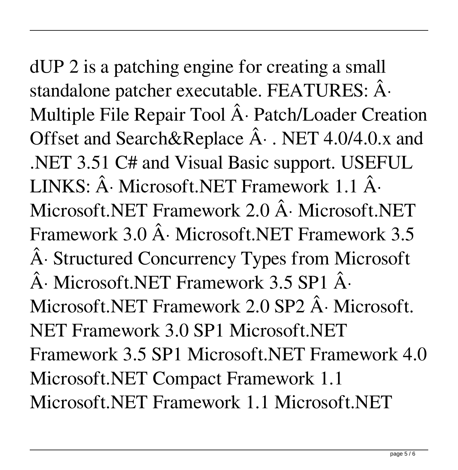dUP 2 is a patching engine for creating a small standalone patcher executable. FEATURES:  $\hat{A}$ . Multiple File Repair Tool  $\hat{A}$ . Patch/Loader Creation Offset and Search&Replace  $\hat{A}$ . NET 4.0/4.0.x and .NET 3.51 C# and Visual Basic support. USEFUL LINKS:  $\hat{A}$ . Microsoft.NET Framework 1.1  $\hat{A}$ . Microsoft.NET Framework  $2.0 \hat{A}$ . Microsoft.NET Framework 3.0  $\hat{A}$ . Microsoft.NET Framework 3.5  $\hat{A}$  Structured Concurrency Types from Microsoft  $\hat{A}$ · Microsoft.NET Framework 3.5 SP1  $\hat{A}$ · Microsoft.NET Framework 2.0 SP2  $\hat{A}$ . Microsoft. NET Framework 3.0 SP1 Microsoft.NET Framework 3.5 SP1 Microsoft.NET Framework 4.0 Microsoft.NET Compact Framework 1.1 Microsoft.NET Framework 1.1 Microsoft.NET